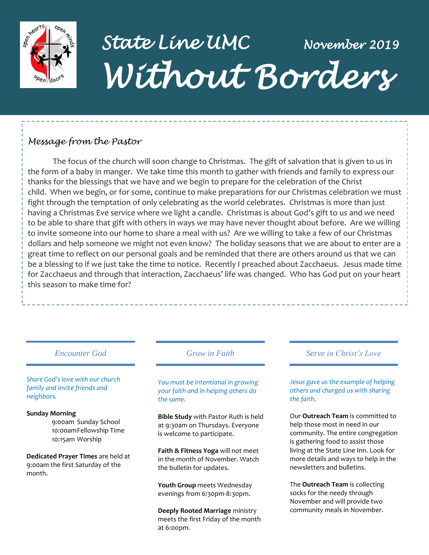

## *State Line UMC November 2019 Without Borders*

## *Message from the Pastor*

The focus of the church will soon change to Christmas. The gift of salvation that is given to us in the form of a baby in manger. We take time this month to gather with friends and family to express our thanks for the blessings that we have and we begin to prepare for the celebration of the Christ child. When we begin, or for some, continue to make preparations for our Christmas celebration we must fight through the temptation of only celebrating as the world celebrates. Christmas is more than just having a Christmas Eve service where we light a candle. Christmas is about God's gift to us and we need to be able to share that gift with others in ways we may have never thought about before. Are we willing to invite someone into our home to share a meal with us? Are we willing to take a few of our Christmas dollars and help someone we might not even know? The holiday seasons that we are about to enter are a great time to reflect on our personal goals and be reminded that there are others around us that we can be a blessing to if we just take the time to notice. Recently I preached about Zacchaeus. Jesus made time for Zacchaeus and through that interaction, Zacchaeus' life was changed. Who has God put on your heart this season to make time for?

## *Encounter God Grow in Faith*

*Share God's love with our church family and invite friends and neighbors.*

#### **Sunday Morning**

9:00am Sunday School 10:00amFellowship Time 10:15am Worship

**Dedicated Prayer Times** are held at 9:00am the first Saturday of the month.

#### *You must be intentional in growing your faith and in helping others do the same.*

**Bible Study** with Pastor Ruth is held at 9:30am on Thursdays. Everyone is welcome to participate.

**Faith & Fitness Yoga** will not meet in the month of November. Watch the bulletin for updates.

**Youth Group** meets Wednesday evenings from 6:30pm-8:30pm.

**Deeply Rooted Marriage** ministry meets the first Friday of the month at 6:00pm.

#### *Serve in Christ's Love*

*Jesus gave us the example of helping others and charged us with sharing the faith.*

Our **Outreach Team** is committed to help those most in need in our community. The entire congregation is gathering food to assist those living at the State Line Inn. Look for more details and ways to help in the newsletters and bulletins.

The **Outreach Team** is collecting socks for the needy through November and will provide two community meals in November.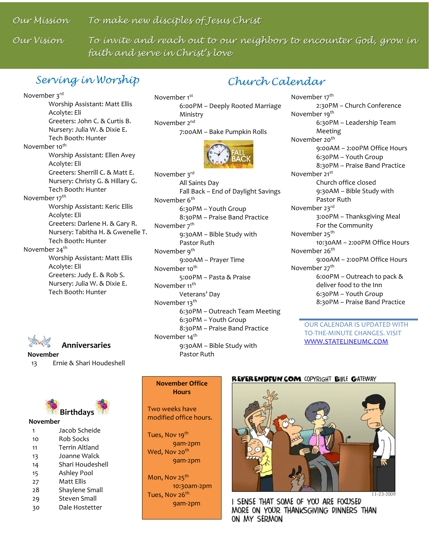*Our Mission To make new disciples of Jesus Christ*

Our Vision

To invite and reach out to our neighbors to encounter God, grow in *faith and serve in Christ's love*

## *Serving in Worship*

## *Church Calendar*

November 3rd Worship Assistant: Matt Ellis Acolyte: Eli Greeters: John C. & Curtis B. Nursery: Julia W. & Dixie E. Tech Booth: Hunter November 10<sup>th</sup> Worship Assistant: Ellen Avey Acolyte: Eli Greeters: Sherrill C. & Matt E. Nursery: Christy G. & Hillary G. Tech Booth: Hunter November 17<sup>th</sup> Worship Assistant: Keric Ellis Acolyte: Eli Greeters: Darlene H. & Gary R. Nursery: Tabitha H. & Gwenelle T. Tech Booth: Hunter November 24 $th$ Worship Assistant: Matt Ellis Acolyte: Eli Greeters: Judy E. & Rob S. Nursery: Julia W. & Dixie E. Tech Booth: Hunter



## **Anniversaries**

**November**

13 Ernie & Shari Houdeshell



#### **November**

| 1  | Jacob Scheide         |  |  |
|----|-----------------------|--|--|
| 10 | Rob Socks             |  |  |
| 11 | <b>Terrin Altland</b> |  |  |
| 13 | Joanne Walck          |  |  |
| 14 | Shari Houdeshell      |  |  |
| 15 | Ashley Pool           |  |  |
| 27 | Matt Fllis            |  |  |
| 28 | Shaylene Small        |  |  |
| 29 | <b>Steven Small</b>   |  |  |
|    | Dale Hostetter        |  |  |

November 1<sup>st</sup> 6:00PM – Deeply Rooted Marriage Ministry November 2<sup>nd</sup> 7:00AM – Bake Pumpkin Rolls

November 3rd All Saints Day Fall Back – End of Daylight Savings November 6<sup>th</sup> 6:30PM – Youth Group 8:30PM – Praise Band Practice November 7<sup>th</sup> 9:30AM – Bible Study with Pastor Ruth November 9<sup>th</sup> 9:00AM – Prayer Time November 10<sup>th</sup> 5:00PM – Pasta & Praise November 11<sup>th</sup> Veterans' Day November 13<sup>th</sup> 6:30PM – Outreach Team Meeting 6:30PM – Youth Group 8:30PM – Praise Band Practice November 14<sup>th</sup> 9:30AM – Bible Study with Pastor Ruth

November 17<sup>th</sup> 2:30PM – Church Conference November 19<sup>th</sup> 6:30PM – Leadership Team Meeting November 20<sup>th</sup> 9:00AM – 2:00PM Office Hours 6:30PM – Youth Group 8:30PM – Praise Band Practice November 21<sup>st</sup> Church office closed 9:30AM – Bible Study with Pastor Ruth November 23rd 3:00PM – Thanksgiving Meal For the Community November 25<sup>th</sup> 10:30AM – 2:00PM Office Hours November 26<sup>th</sup> 9:00AM – 2:00PM Office Hours November 27<sup>th</sup> 6:00PM – Outreach to pack & deliver food to the Inn 6:30PM – Youth Group 8:30PM – Praise Band Practice

> OUR CALENDAR IS UPDATED WITH TO-THE-MINUTE CHANGES. VISIT [WWW.STATELINEUMC.COM](http://www.statelineumc.com/)

#### **November Office Hours**

Two weeks have modified office hours.

Tues, Nov 19<sup>th</sup> 9am-2pm Wed, Nov 20<sup>th</sup> 9am-2pm

Mon, Nov 25<sup>th</sup> 10:30am-2pm Tues, Nov 26<sup>th</sup> 9am-2pm

#### **REVERENDFUN.COM COPYRIGHT BIBLE GATEWAY**



I SENSE THAT SOME OF YOU ARE FOCUSED MORE ON YOUR THANKSGIVING DINNERS THAN ON MY SERMON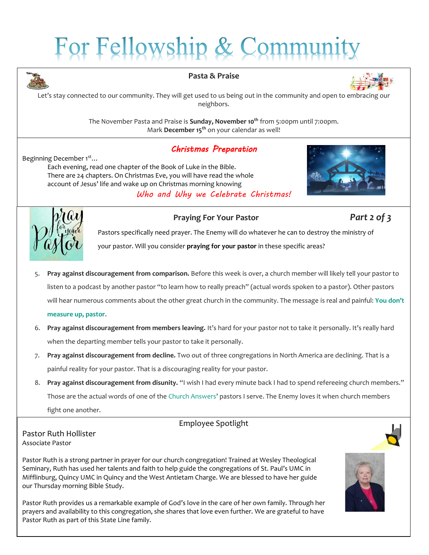# For Fellowship & Commu



#### **Pasta & Praise**



Let's stay connected to our community. They will get used to us being out in the community and open to embracing our neighbors.

> The November Pasta and Praise is **Sunday, November 10th** from 5:00pm until 7:00pm. Mark **December 15th** on your calendar as well!

## *Christmas Preparation*

Beginning December 1<sup>st</sup>...

Each evening, read one chapter of the Book of Luke in the Bible. There are 24 chapters. On Christmas Eve, you will have read the whole account of Jesus' life and wake up on Christmas morning knowing *Who and Why we Celebrate Christmas!*





#### **Praying For Your Pastor** *Part 2 of 3*

Pastors specifically need prayer. The Enemy will do whatever he can to destroy the ministry of your pastor. Will you consider **[praying for your pastor](https://churchleaders.com/outreach-missions/outreach-missions-articles/311609-how-to-pray-for-your-pastor-ronnie-floyd.html)** in these specific areas?

- 5. **Pray against discouragement from comparison.** Before this week is over, a church member will likely tell your pastor to listen to a podcast by another pastor "to learn how to really preach" (actual words spoken to a pastor). Other pastors will hear numerous comments about the other great church in the community. The message is real and painful: **[You don't](https://churchleaders.com/outreach-missions/outreach-missions-articles/319480-discouraged-pastors-wives-john-piper.html)  [measure up, pastor](https://churchleaders.com/outreach-missions/outreach-missions-articles/319480-discouraged-pastors-wives-john-piper.html)**.
- 6. **Pray against discouragement from members leaving.** It's hard for your pastor not to take it personally. It's really hard when the departing member tells your pastor to take it personally.
- 7. **Pray against discouragement from decline.** Two out of three congregations in North America are declining. That is a painful reality for your pastor. That is a discouraging reality for your pastor.
- 8. **Pray against discouragement from disunity.** "I wish I had every minute back I had to spend refereeing church members." Those are the actual words of one of the [Church Answers](http://churchanswers.com/)' pastors I serve. The Enemy loves it when church members fight one another.

## Employee Spotlight



Pastor Ruth is a strong partner in prayer for our church congregation! Trained at Wesley Theological Seminary, Ruth has used her talents and faith to help guide the congregations of St. Paul's UMC in Mifflinburg, Quincy UMC in Quincy and the West Antietam Charge. We are blessed to have her guide our Thursday morning Bible Study.

Pastor Ruth provides us a remarkable example of God's love in the care of her own family. Through her prayers and availability to this congregation, she shares that love even further. We are grateful to have Pastor Ruth as part of this State Line family.

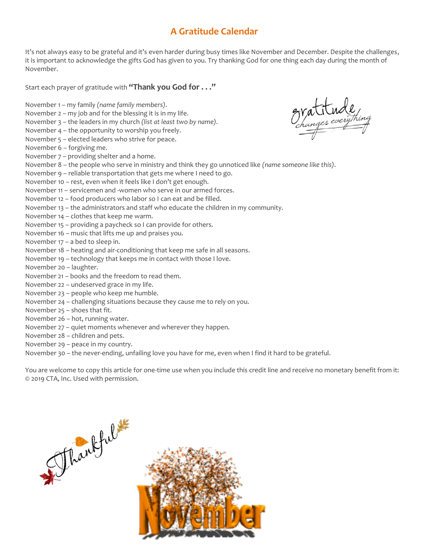## **A Gratitude Calendar**

It's not always easy to be grateful and it's even harder during busy times like November and December. Despite the challenges, it is important to acknowledge the gifts God has given to you. Try thanking God for one thing each day during the month of November.

Start each prayer of gratitude with **"Thank you God for . . ."**

November 1 – my family *(name family members)*. November 2 – my job and for the blessing it is in my life. November 3 – the leaders in my church *(list at least two by name)*. November 4 – the opportunity to worship you freely. November 5 – elected leaders who strive for peace. November 6 – forgiving me. November 7 – providing shelter and a home. November 8 – the people who serve in ministry and think they go unnoticed like *(name someone like this)*. November 9 – reliable transportation that gets me where I need to go. November 10 – rest, even when it feels like I don't get enough. November 11 – servicemen and -women who serve in our armed forces. November 12 – food producers who labor so I can eat and be filled. November 13 – the administrators and staff who educate the children in my community. November 14 – clothes that keep me warm. November 15 – providing a paycheck so I can provide for others. November 16 – music that lifts me up and praises you. November 17 – a bed to sleep in. November 18 – heating and air-conditioning that keep me safe in all seasons. November 19 – technology that keeps me in contact with those I love. November 20 – laughter. November 21 – books and the freedom to read them. November 22 – undeserved grace in my life. November 23 – people who keep me humble. November 24 – challenging situations because they cause me to rely on you. November 25 – shoes that fit. November 26 – hot, running water. November 27 – quiet moments whenever and wherever they happen. November 28 – children and pets. November 29 – peace in my country. November 30 – the never-ending, unfailing love you have for me, even when I find it hard to be grateful.

You are welcome to copy this article for one-time use when you include this credit line and receive no monetary benefit from it: © 2019 CTA, Inc. Used with permission.